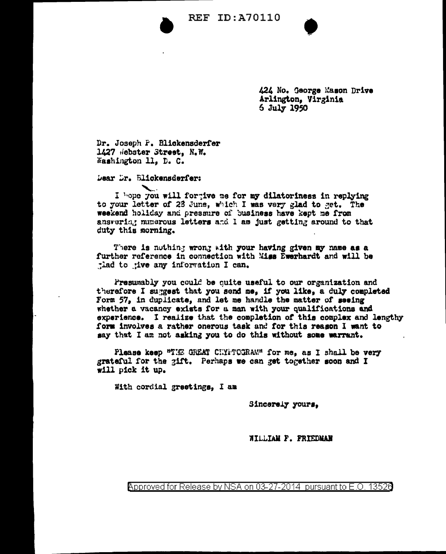**REF ID: A70110** 



424 No. George Mason Drive Arlington, Virginia  $5$  July 1950

Dr. Joseph P. Blickensderfer 1427 Hebster Street, N.W. Washington 11. D. C.

Dear Dr. Blickensderfer:

I hope you will fortive me for my dilatoriness in replying to your letter of 23 June, which I was very glad to get. The weekend holiday and pressure of business have kept me from ansvering numerous letters and I am just getting around to that duty this morning.

There is nothing wrong with your having given my name as a further reference in connection with Miss Ewerhardt and will be tlad to tive any information I can.

Presumably you could be quite useful to our organization and therefore I suggest that you send me, if you like, a duly completed Form 57, in duplicate, and let me handle the matter of seeing whether a vacancy exists for a man with your qualifications and experience. I realize that the completion of this complex and lengthy form involves a rather onerous task and for this reason I want to say that I am not asking you to do this without some warrant.

Please keep "THE GREAT CHYFTOGRAM" for me, as I shall be very grateful for the gift. Perhaps we can get together soon and I will pick it up.

With cordial greetings, I am

Sincerely yours,

WILLIAM P. FRIEDMAN

Approved for Release by NSA on 03-27-2014 pursuant to E.O. 13526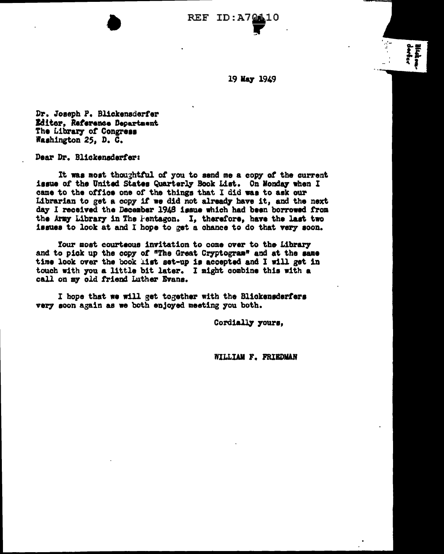**REF ID:A7** 

19 May 1949

Dr. Joseph P. Blickensderfer Editor, Reference Department The Library of Congress Washington 25, D. C.

Dear Dr. Blickensderfer:

It was most thoughtful of you to send me a copy of the current issue of the United States Quarterly Book List. On Monday when I came to the office one of the things that I did was to ask our Librarian to get a copy if we did not already have it, and the next day I received the December 1948 issue which had been borrowed from the Army Library in The Pentagon. I, therefore, have the last two issues to look at and I hope to get a chance to do that very soon.

Your most courteous invitation to come over to the Library and to pick up the copy of "The Great Cryptogram" and at the same time look over the book list set-up is accepted and I will get in touch with you a little bit later. I might combine this with a call on my old friend Luther Evans.

I hope that we will get together with the Blickensderfers very soon again as we both enjoyed meeting you both.

Cordially yours,

WILLIAM F. FRIEDMAN